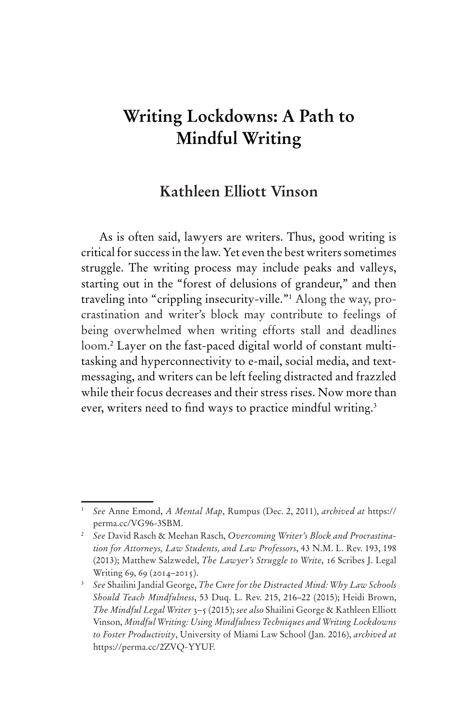# **Writing Lockdowns: A Path to Mindful Writing**

# **Kathleen Elliott Vinson**

As is often said, lawyers are writers. Thus, good writing is critical for success in the law. Yet even the best writers sometimes struggle. The writing process may include peaks and valleys, starting out in the "forest of delusions of grandeur," and then traveling into "crippling insecurity-ville."1 Along the way, procrastination and writer's block may contribute to feelings of being overwhelmed when writing efforts stall and deadlines loom.2 Layer on the fast-paced digital world of constant multitasking and hyperconnectivity to e-mail, social media, and textmessaging, and writers can be left feeling distracted and frazzled while their focus decreases and their stress rises. Now more than ever, writers need to find ways to practice mindful writing.<sup>3</sup>

<sup>1</sup> *See* Anne Emond, *A Mental Map*, Rumpus (Dec. 2, 2011), *archived at* https:// perma.cc/VG96-3SBM.

<sup>2</sup> *See* David Rasch & Meehan Rasch, *Overcoming Writer's Block and Procrastination for Attorneys, Law Students, and Law Professors*, 43 N.M. L. Rev. 193, 198 (2013); Matthew Salzwedel, *The Lawyer's Struggle to Write*, 16 Scribes J. Legal Writing 69, 69 (2014-2015).

<sup>3</sup> *See* Shailini Jandial George, *The Cure for the Distracted Mind: Why Law Schools Should Teach Mindfulness*, 53 Duq. L. Rev. 215, 216–22 (2015); Heidi Brown, *The Mindful Legal Writer* 3–5 (2015); *see also* Shailini George & Kathleen Elliott Vinson, *Mindful Writing: Using Mindfulness Techniques and Writing Lockdowns to Foster Productivity*, University of Miami Law School (Jan. 2016), *archived at*  https://perma.cc/2ZVQ-YYUF.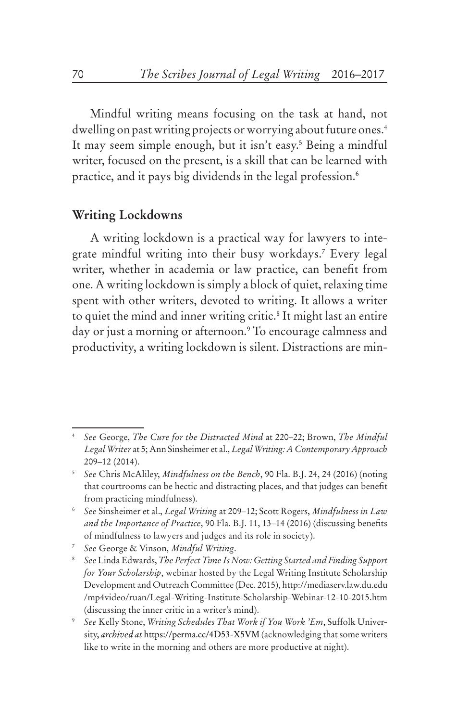Mindful writing means focusing on the task at hand, not dwelling on past writing projects or worrying about future ones.<sup>4</sup> It may seem simple enough, but it isn't easy.<sup>5</sup> Being a mindful writer, focused on the present, is a skill that can be learned with practice, and it pays big dividends in the legal profession.6

#### **Writing Lockdowns**

A writing lockdown is a practical way for lawyers to integrate mindful writing into their busy workdays.7 Every legal writer, whether in academia or law practice, can benefit from one. A writing lockdown is simply a block of quiet, relaxing time spent with other writers, devoted to writing. It allows a writer to quiet the mind and inner writing critic.8 It might last an entire day or just a morning or afternoon.9 To encourage calmness and productivity, a writing lockdown is silent. Distractions are min-

<sup>4</sup> *See* George, *The Cure for the Distracted Mind* at 220–22; Brown, *The Mindful Legal Writer* at 5; Ann Sinsheimer et al., *Legal Writing: A Contemporary Approach* 209–12 (2014).

<sup>5</sup> *See* Chris McAliley, *Mindfulness on the Bench*, 90 Fla. B.J. 24, 24 (2016) (noting that courtrooms can be hectic and distracting places, and that judges can benefit from practicing mindfulness).

<sup>6</sup> *See* Sinsheimer et al., *Legal Writing* at 209–12; Scott Rogers, *Mindfulness in Law and the Importance of Practice*, 90 Fla. B.J. 11, 13–14 (2016) (discussing benefits of mindfulness to lawyers and judges and its role in society).

<sup>7</sup> *See* George & Vinson, *Mindful Writing*.

<sup>8</sup> *See* Linda Edwards, *The Perfect Time Is Now: Getting Started and Finding Support for Your Scholarship*, webinar hosted by the Legal Writing Institute Scholarship Development and Outreach Committee (Dec. 2015), http://mediaserv.law.du.edu /mp4video/ruan/Legal-Writing-Institute-Scholarship-Webinar-12-10-2015.htm (discussing the inner critic in a writer's mind).

<sup>9</sup> *See* Kelly Stone, *Writing Schedules That Work if You Work 'Em*, Suffolk University, *archived at* https://perma.cc/4D53-X5VM (acknowledging that some writers like to write in the morning and others are more productive at night).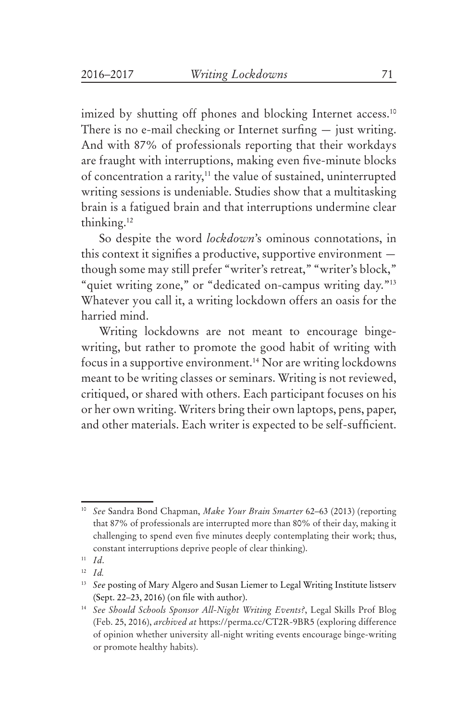imized by shutting off phones and blocking Internet access.<sup>10</sup> There is no e-mail checking or Internet surfing  $-$  just writing. And with 87% of professionals reporting that their workdays are fraught with interruptions, making even five-minute blocks of concentration a rarity,<sup>11</sup> the value of sustained, uninterrupted writing sessions is undeniable. Studies show that a multitasking brain is a fatigued brain and that interruptions undermine clear thinking.12

So despite the word *lockdown*'s ominous connotations, in this context it signifies a productive, supportive environment though some may still prefer "writer's retreat," "writer's block," "quiet writing zone," or "dedicated on-campus writing day."<sup>13</sup> Whatever you call it, a writing lockdown offers an oasis for the harried mind.

Writing lockdowns are not meant to encourage bingewriting, but rather to promote the good habit of writing with focus in a supportive environment.<sup>14</sup> Nor are writing lockdowns meant to be writing classes or seminars. Writing is not reviewed, critiqued, or shared with others. Each participant focuses on his or her own writing. Writers bring their own laptops, pens, paper, and other materials. Each writer is expected to be self-sufficient.

<sup>10</sup> *See* Sandra Bond Chapman, *Make Your Brain Smarter* 62–63 (2013) (reporting that 87% of professionals are interrupted more than 80% of their day, making it challenging to spend even five minutes deeply contemplating their work; thus, constant interruptions deprive people of clear thinking).

<sup>11</sup> *Id*.

<sup>12</sup> *Id.*

<sup>&</sup>lt;sup>13</sup> See posting of Mary Algero and Susan Liemer to Legal Writing Institute listserv (Sept. 22–23, 2016) (on file with author).

<sup>14</sup> *See Should Schools Sponsor All-Night Writing Events?*, Legal Skills Prof Blog (Feb. 25, 2016), *archived at* https://perma.cc/CT2R-9BR5 (exploring difference of opinion whether university all-night writing events encourage binge-writing or promote healthy habits).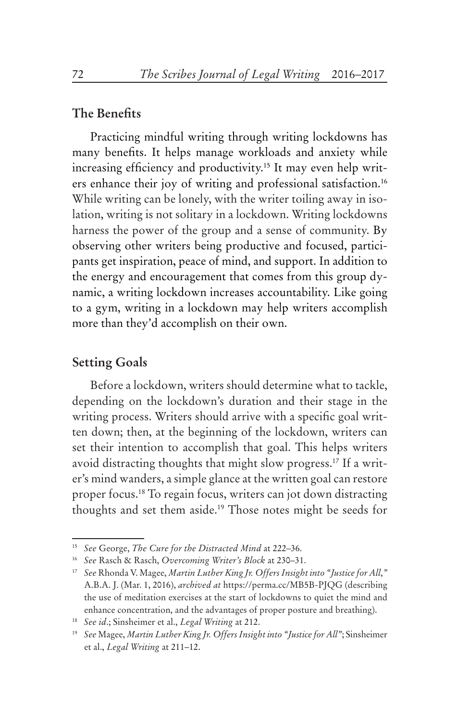#### **The Benefits**

Practicing mindful writing through writing lockdowns has many benefits. It helps manage workloads and anxiety while increasing efficiency and productivity.<sup>15</sup> It may even help writers enhance their joy of writing and professional satisfaction.<sup>16</sup> While writing can be lonely, with the writer toiling away in isolation, writing is not solitary in a lockdown. Writing lockdowns harness the power of the group and a sense of community. By observing other writers being productive and focused, participants get inspiration, peace of mind, and support. In addition to the energy and encouragement that comes from this group dynamic, a writing lockdown increases accountability. Like going to a gym, writing in a lockdown may help writers accomplish more than they'd accomplish on their own.

# **Setting Goals**

Before a lockdown, writers should determine what to tackle, depending on the lockdown's duration and their stage in the writing process. Writers should arrive with a specific goal written down; then, at the beginning of the lockdown, writers can set their intention to accomplish that goal. This helps writers avoid distracting thoughts that might slow progress.17 If a writer's mind wanders, a simple glance at the written goal can restore proper focus.18 To regain focus, writers can jot down distracting thoughts and set them aside.19 Those notes might be seeds for

<sup>15</sup> *See* George, *The Cure for the Distracted Mind* at 222–36.

<sup>16</sup> *See* Rasch & Rasch, *Overcoming Writer's Block* at 230–31.

<sup>17</sup> *See* Rhonda V. Magee, *Martin Luther King Jr. Offers Insight into "Justice for All*,*"* A.B.A. J. (Mar. 1, 2016), *archived at* https://perma.cc/MB5B-PJQG (describing the use of meditation exercises at the start of lockdowns to quiet the mind and enhance concentration, and the advantages of proper posture and breathing).

<sup>18</sup> *See id*.; Sinsheimer et al., *Legal Writing* at 212.

<sup>19</sup> *See* Magee, *Martin Luther King Jr. Offers Insight into "Justice for All"*; Sinsheimer et al., *Legal Writing* at 211–12.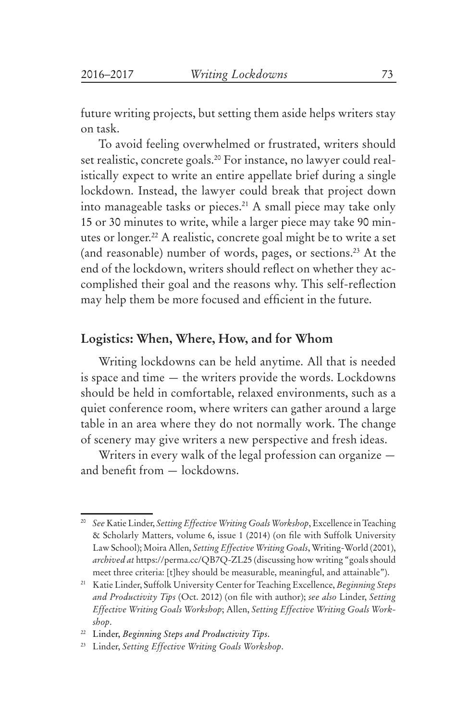future writing projects, but setting them aside helps writers stay on task.

To avoid feeling overwhelmed or frustrated, writers should set realistic, concrete goals.<sup>20</sup> For instance, no lawyer could realistically expect to write an entire appellate brief during a single lockdown. Instead, the lawyer could break that project down into manageable tasks or pieces.<sup>21</sup> A small piece may take only 15 or 30 minutes to write, while a larger piece may take 90 minutes or longer.22 A realistic, concrete goal might be to write a set (and reasonable) number of words, pages, or sections.23 At the end of the lockdown, writers should reflect on whether they accomplished their goal and the reasons why. This self-reflection may help them be more focused and efficient in the future.

# **Logistics: When, Where, How, and for Whom**

Writing lockdowns can be held anytime. All that is needed is space and time — the writers provide the words. Lockdowns should be held in comfortable, relaxed environments, such as a quiet conference room, where writers can gather around a large table in an area where they do not normally work. The change of scenery may give writers a new perspective and fresh ideas.

Writers in every walk of the legal profession can organize and benefit from — lockdowns.

<sup>20</sup> *See* Katie Linder, *Setting Effective Writing Goals Workshop*, Excellence in Teaching & Scholarly Matters, volume 6, issue 1 (2014) (on file with Suffolk University Law School); Moira Allen, *Setting Effective Writing Goals*, Writing-World (2001), *archived at* https://perma.cc/QB7Q-ZL25 (discussing how writing "goals should meet three criteria: [t]hey should be measurable, meaningful, and attainable").

<sup>21</sup> Katie Linder, Suffolk University Center for Teaching Excellence, *Beginning Steps and Productivity Tips* (Oct. 2012) (on file with author); *see also* Linder, *Setting Effective Writing Goals Workshop*; Allen, *Setting Effective Writing Goals Workshop*.

<sup>22</sup> Linder, *Beginning Steps and Productivity Tips*.

<sup>23</sup> Linder, *Setting Effective Writing Goals Workshop*.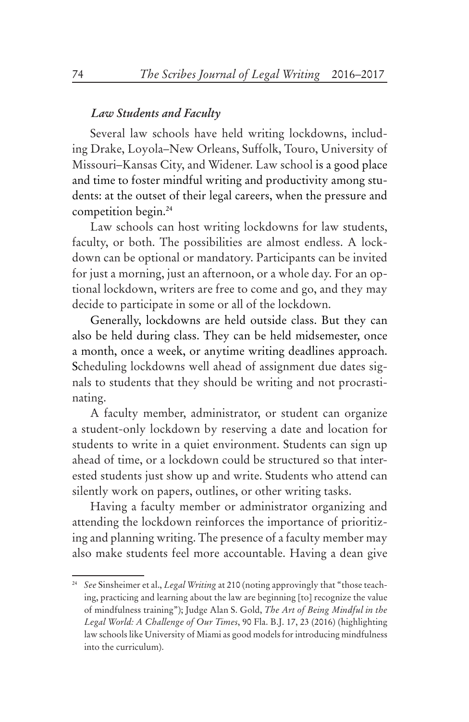#### *Law Students and Faculty*

Several law schools have held writing lockdowns, including Drake, Loyola–New Orleans, Suffolk, Touro, University of Missouri–Kansas City, and Widener. Law school is a good place and time to foster mindful writing and productivity among students: at the outset of their legal careers, when the pressure and competition begin.24

Law schools can host writing lockdowns for law students, faculty, or both. The possibilities are almost endless. A lockdown can be optional or mandatory. Participants can be invited for just a morning, just an afternoon, or a whole day. For an optional lockdown, writers are free to come and go, and they may decide to participate in some or all of the lockdown.

Generally, lockdowns are held outside class. But they can also be held during class. They can be held midsemester, once a month, once a week, or anytime writing deadlines approach. Scheduling lockdowns well ahead of assignment due dates signals to students that they should be writing and not procrastinating.

A faculty member, administrator, or student can organize a student-only lockdown by reserving a date and location for students to write in a quiet environment. Students can sign up ahead of time, or a lockdown could be structured so that interested students just show up and write. Students who attend can silently work on papers, outlines, or other writing tasks.

Having a faculty member or administrator organizing and attending the lockdown reinforces the importance of prioritizing and planning writing. The presence of a faculty member may also make students feel more accountable. Having a dean give

<sup>24</sup> *See* Sinsheimer et al., *Legal Writing* at 210 (noting approvingly that "those teaching, practicing and learning about the law are beginning [to] recognize the value of mindfulness training"); Judge Alan S. Gold, *The Art of Being Mindful in the Legal World: A Challenge of Our Times*, 90 Fla. B.J. 17, 23 (2016) (highlighting law schools like University of Miami as good models for introducing mindfulness into the curriculum).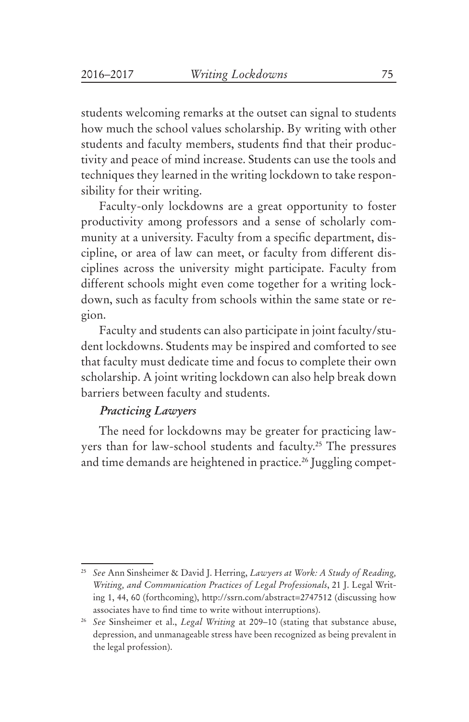students welcoming remarks at the outset can signal to students how much the school values scholarship. By writing with other students and faculty members, students find that their productivity and peace of mind increase. Students can use the tools and techniques they learned in the writing lockdown to take responsibility for their writing.

Faculty-only lockdowns are a great opportunity to foster productivity among professors and a sense of scholarly community at a university. Faculty from a specific department, discipline, or area of law can meet, or faculty from different disciplines across the university might participate. Faculty from different schools might even come together for a writing lockdown, such as faculty from schools within the same state or region.

Faculty and students can also participate in joint faculty/student lockdowns. Students may be inspired and comforted to see that faculty must dedicate time and focus to complete their own scholarship. A joint writing lockdown can also help break down barriers between faculty and students.

#### *Practicing Lawyers*

The need for lockdowns may be greater for practicing lawyers than for law-school students and faculty.<sup>25</sup> The pressures and time demands are heightened in practice.<sup>26</sup> Juggling compet-

<sup>25</sup> *See* Ann Sinsheimer & David J. Herring, *Lawyers at Work: A Study of Reading, Writing, and Communication Practices of Legal Professionals*, 21 J. Legal Writing 1, 44, 60 (forthcoming), http://ssrn.com/abstract=2747512 (discussing how associates have to find time to write without interruptions).

<sup>26</sup> *See* Sinsheimer et al., *Legal Writing* at 209–10 (stating that substance abuse, depression, and unmanageable stress have been recognized as being prevalent in the legal profession).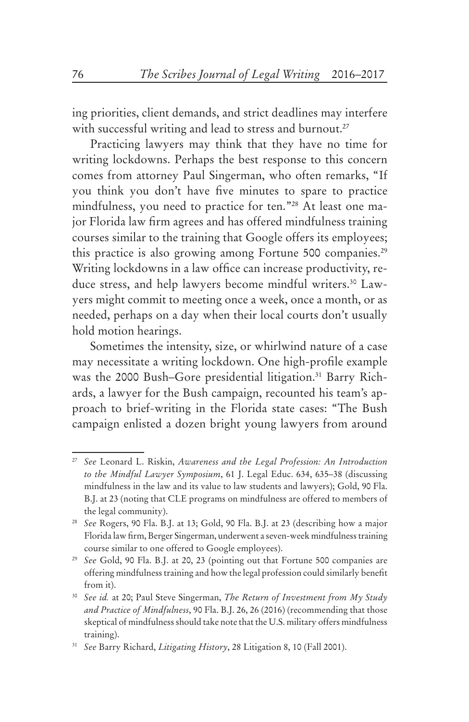ing priorities, client demands, and strict deadlines may interfere with successful writing and lead to stress and burnout.<sup>27</sup>

Practicing lawyers may think that they have no time for writing lockdowns. Perhaps the best response to this concern comes from attorney Paul Singerman, who often remarks, "If you think you don't have five minutes to spare to practice mindfulness, you need to practice for ten."28 At least one major Florida law firm agrees and has offered mindfulness training courses similar to the training that Google offers its employees; this practice is also growing among Fortune 500 companies.<sup>29</sup> Writing lockdowns in a law office can increase productivity, reduce stress, and help lawyers become mindful writers.<sup>30</sup> Lawyers might commit to meeting once a week, once a month, or as needed, perhaps on a day when their local courts don't usually hold motion hearings.

Sometimes the intensity, size, or whirlwind nature of a case may necessitate a writing lockdown. One high-profile example was the 2000 Bush–Gore presidential litigation.<sup>31</sup> Barry Richards, a lawyer for the Bush campaign, recounted his team's approach to brief-writing in the Florida state cases: "The Bush campaign enlisted a dozen bright young lawyers from around

<sup>27</sup> *See* Leonard L. Riskin, *Awareness and the Legal Profession: An Introduction to the Mindful Lawyer Symposium*, 61 J. Legal Educ. 634, 635–38 (discussing mindfulness in the law and its value to law students and lawyers); Gold, 90 Fla. B.J. at 23 (noting that CLE programs on mindfulness are offered to members of the legal community).

<sup>28</sup> *See* Rogers, 90 Fla. B.J. at 13; Gold, 90 Fla. B.J. at 23 (describing how a major Florida law firm, Berger Singerman, underwent a seven-week mindfulness training course similar to one offered to Google employees).

<sup>29</sup> *See* Gold, 90 Fla. B.J. at 20, 23 (pointing out that Fortune 500 companies are offering mindfulness training and how the legal profession could similarly benefit from it).

<sup>30</sup> *See id.* at 20; Paul Steve Singerman, *The Return of Investment from My Study and Practice of Mindfulness*, 90 Fla. B.J. 26, 26 (2016) (recommending that those skeptical of mindfulness should take note that the U.S. military offers mindfulness training).

<sup>31</sup> *See* Barry Richard, *Litigating History*, 28 Litigation 8, 10 (Fall 2001).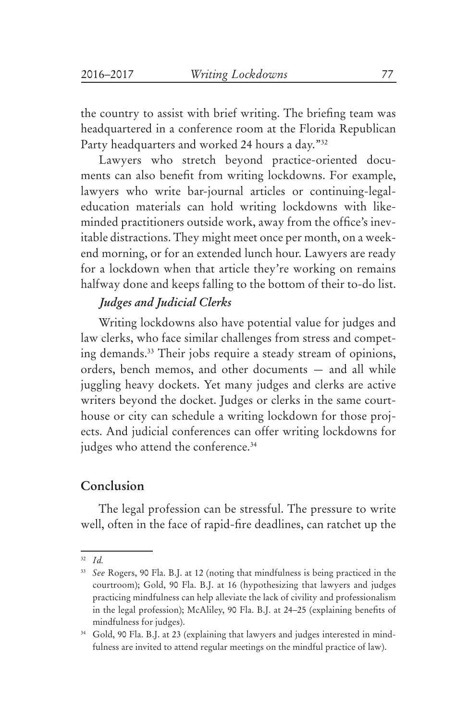the country to assist with brief writing. The briefing team was headquartered in a conference room at the Florida Republican Party headquarters and worked 24 hours a day."32

Lawyers who stretch beyond practice-oriented documents can also benefit from writing lockdowns. For example, lawyers who write bar-journal articles or continuing-legaleducation materials can hold writing lockdowns with likeminded practitioners outside work, away from the office's inevitable distractions. They might meet once per month, on a weekend morning, or for an extended lunch hour. Lawyers are ready for a lockdown when that article they're working on remains halfway done and keeps falling to the bottom of their to-do list.

# *Judges and Judicial Clerks*

Writing lockdowns also have potential value for judges and law clerks, who face similar challenges from stress and competing demands.33 Their jobs require a steady stream of opinions, orders, bench memos, and other documents — and all while juggling heavy dockets. Yet many judges and clerks are active writers beyond the docket. Judges or clerks in the same courthouse or city can schedule a writing lockdown for those projects. And judicial conferences can offer writing lockdowns for judges who attend the conference.<sup>34</sup>

#### **Conclusion**

The legal profession can be stressful. The pressure to write well, often in the face of rapid-fire deadlines, can ratchet up the

<sup>32</sup> *Id.*

<sup>33</sup> *See* Rogers, 90 Fla. B.J. at 12 (noting that mindfulness is being practiced in the courtroom); Gold, 90 Fla. B.J. at 16 (hypothesizing that lawyers and judges practicing mindfulness can help alleviate the lack of civility and professionalism in the legal profession); McAliley, 90 Fla. B.J. at 24–25 (explaining benefits of mindfulness for judges).

<sup>&</sup>lt;sup>34</sup> Gold, 90 Fla. B.J. at 23 (explaining that lawyers and judges interested in mindfulness are invited to attend regular meetings on the mindful practice of law).